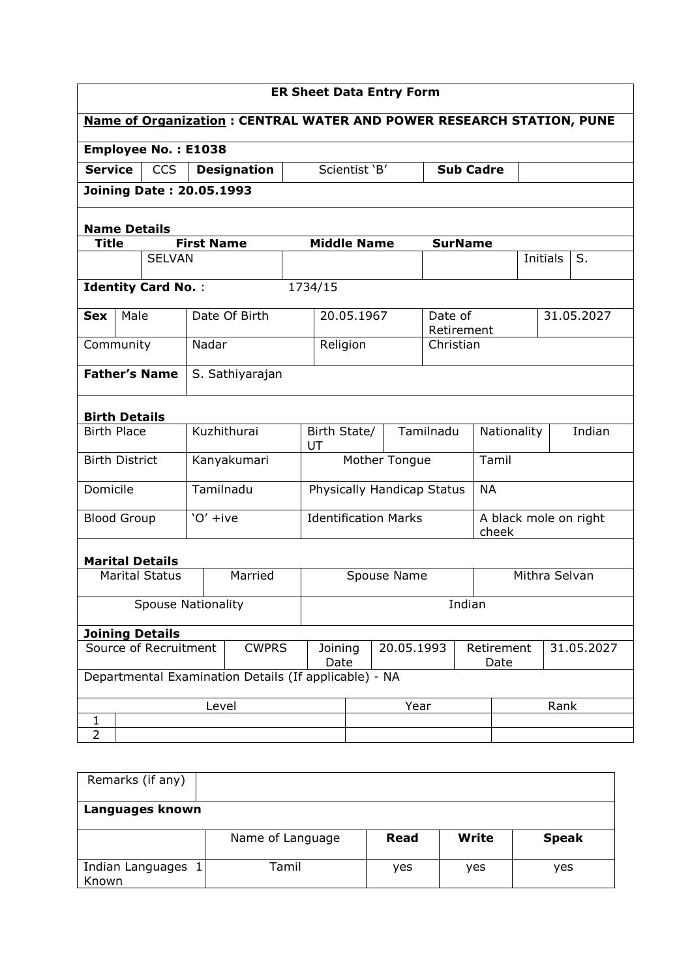| <b>ER Sheet Data Entry Form</b>                                                  |                                                       |            |                    |                 |                             |             |                       |                  |                                |               |            |
|----------------------------------------------------------------------------------|-------------------------------------------------------|------------|--------------------|-----------------|-----------------------------|-------------|-----------------------|------------------|--------------------------------|---------------|------------|
| <b>Name of Organization: CENTRAL WATER AND POWER RESEARCH STATION, PUNE</b>      |                                                       |            |                    |                 |                             |             |                       |                  |                                |               |            |
|                                                                                  | <b>Employee No.: E1038</b>                            |            |                    |                 |                             |             |                       |                  |                                |               |            |
| <b>Service</b>                                                                   | CCS                                                   |            | <b>Designation</b> |                 | Scientist 'B'               |             |                       | <b>Sub Cadre</b> |                                |               |            |
|                                                                                  | <b>Joining Date: 20.05.1993</b>                       |            |                    |                 |                             |             |                       |                  |                                |               |            |
|                                                                                  |                                                       |            |                    |                 |                             |             |                       |                  |                                |               |            |
| <b>Name Details</b><br><b>Middle Name</b><br><b>First Name</b><br><b>SurName</b> |                                                       |            |                    |                 |                             |             |                       |                  |                                |               |            |
| <b>Title</b>                                                                     | <b>SELVAN</b>                                         |            |                    |                 |                             |             |                       |                  |                                | Initials      | S.         |
|                                                                                  |                                                       |            |                    |                 |                             |             |                       |                  |                                |               |            |
|                                                                                  | <b>Identity Card No.:</b>                             |            |                    |                 | 1734/15                     |             |                       |                  |                                |               |            |
| <b>Sex</b>                                                                       | Male                                                  |            | Date Of Birth      |                 | 20.05.1967                  |             | Date of<br>Retirement |                  |                                |               | 31.05.2027 |
| Community                                                                        |                                                       | Nadar      |                    |                 | Religion                    |             | Christian             |                  |                                |               |            |
|                                                                                  | <b>Father's Name</b><br>S. Sathiyarajan               |            |                    |                 |                             |             |                       |                  |                                |               |            |
|                                                                                  | <b>Birth Details</b>                                  |            |                    |                 |                             |             |                       |                  |                                |               |            |
| <b>Birth Place</b>                                                               |                                                       |            | Kuzhithurai        |                 | Birth State/<br>UT          |             | Tamilnadu             |                  | Nationality                    |               | Indian     |
| <b>Birth District</b>                                                            |                                                       |            | Kanyakumari        |                 | Mother Tongue               |             |                       | Tamil            |                                |               |            |
| Domicile                                                                         |                                                       | Tamilnadu  |                    |                 | Physically Handicap Status  |             |                       | <b>NA</b>        |                                |               |            |
| <b>Blood Group</b>                                                               |                                                       | $'O'$ +ive |                    |                 | <b>Identification Marks</b> |             |                       |                  | A black mole on right<br>cheek |               |            |
|                                                                                  | <b>Marital Details</b>                                |            |                    |                 |                             |             |                       |                  |                                |               |            |
|                                                                                  | <b>Marital Status</b>                                 |            | Married            |                 |                             | Spouse Name |                       |                  |                                | Mithra Selvan |            |
| <b>Spouse Nationality</b>                                                        |                                                       |            |                    |                 |                             |             |                       | Indian           |                                |               |            |
| <b>Joining Details</b>                                                           |                                                       |            |                    |                 |                             |             |                       |                  |                                |               |            |
| Source of Recruitment<br><b>CWPRS</b>                                            |                                                       |            |                    | Joining<br>Date | 20.05.1993                  |             | Retirement<br>Date    |                  |                                | 31.05.2027    |            |
|                                                                                  | Departmental Examination Details (If applicable) - NA |            |                    |                 |                             |             |                       |                  |                                |               |            |
|                                                                                  |                                                       | Level      |                    |                 |                             | Year        |                       |                  |                                | Rank          |            |
| 1<br>2                                                                           |                                                       |            |                    |                 |                             |             |                       |                  |                                |               |            |
|                                                                                  |                                                       |            |                    |                 |                             |             |                       |                  |                                |               |            |

| Remarks (if any)            |                  |      |       |              |
|-----------------------------|------------------|------|-------|--------------|
| Languages known             |                  |      |       |              |
|                             | Name of Language | Read | Write | <b>Speak</b> |
| Indian Languages 1<br>Known | Tamil            | yes  | yes   | yes          |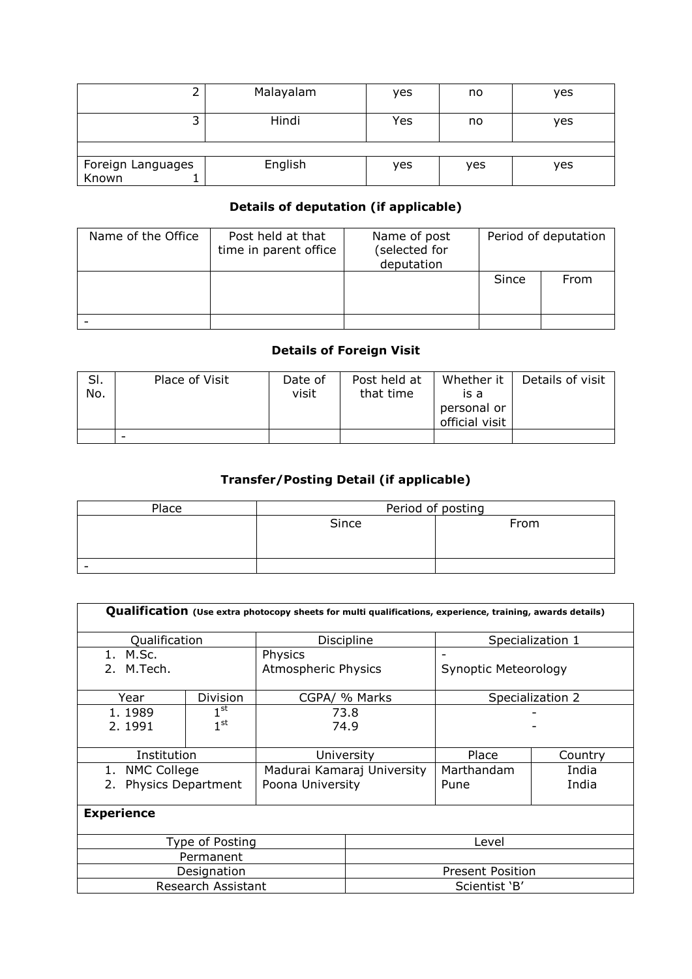|                            | Malayalam | yes | no  | ves |
|----------------------------|-----------|-----|-----|-----|
| Hindi<br>┙                 |           | Yes | no  | ves |
|                            |           |     |     |     |
| Foreign Languages<br>Known | English   | yes | yes | ves |

### Details of deputation (if applicable)

| Name of the Office | Post held at that<br>time in parent office | Name of post<br>(selected for<br>deputation | Period of deputation |      |
|--------------------|--------------------------------------------|---------------------------------------------|----------------------|------|
|                    |                                            |                                             | Since                | From |
|                    |                                            |                                             |                      |      |

### Details of Foreign Visit

| SI.<br>No. | Place of Visit | Date of<br>visit | Post held at<br>that time | Whether it<br>is a<br>personal or<br>official visit | Details of visit |
|------------|----------------|------------------|---------------------------|-----------------------------------------------------|------------------|
|            | -              |                  |                           |                                                     |                  |

## Transfer/Posting Detail (if applicable)

| Place | Period of posting |      |  |  |  |  |
|-------|-------------------|------|--|--|--|--|
|       | Since             | From |  |  |  |  |
|       |                   |      |  |  |  |  |
|       |                   |      |  |  |  |  |
|       |                   |      |  |  |  |  |

|                                                             |                                                 |                                |                            | Qualification (Use extra photocopy sheets for multi qualifications, experience, training, awards details) |                  |  |  |
|-------------------------------------------------------------|-------------------------------------------------|--------------------------------|----------------------------|-----------------------------------------------------------------------------------------------------------|------------------|--|--|
| Qualification                                               |                                                 | Discipline                     |                            | Specialization 1                                                                                          |                  |  |  |
| 1. M.Sc.<br>2. M.Tech.                                      |                                                 | Physics<br>Atmospheric Physics |                            | Synoptic Meteorology                                                                                      |                  |  |  |
| Year                                                        | Division                                        | CGPA/ % Marks                  |                            |                                                                                                           | Specialization 2 |  |  |
| 1, 1989<br>2.1991                                           | $1^{\rm st}$<br>73.8<br>1 <sup>st</sup><br>74.9 |                                |                            |                                                                                                           |                  |  |  |
| Institution                                                 |                                                 | University                     |                            | Place                                                                                                     | Country          |  |  |
| <b>NMC College</b><br>1.<br><b>Physics Department</b><br>2. |                                                 | Poona University               | Madurai Kamaraj University | Marthandam<br>Pune                                                                                        | India<br>India   |  |  |
| <b>Experience</b>                                           |                                                 |                                |                            |                                                                                                           |                  |  |  |
|                                                             | Type of Posting                                 |                                | Level                      |                                                                                                           |                  |  |  |
|                                                             | Permanent                                       |                                |                            |                                                                                                           |                  |  |  |
|                                                             | Designation                                     |                                | <b>Present Position</b>    |                                                                                                           |                  |  |  |
|                                                             | <b>Research Assistant</b>                       |                                | Scientist 'B'              |                                                                                                           |                  |  |  |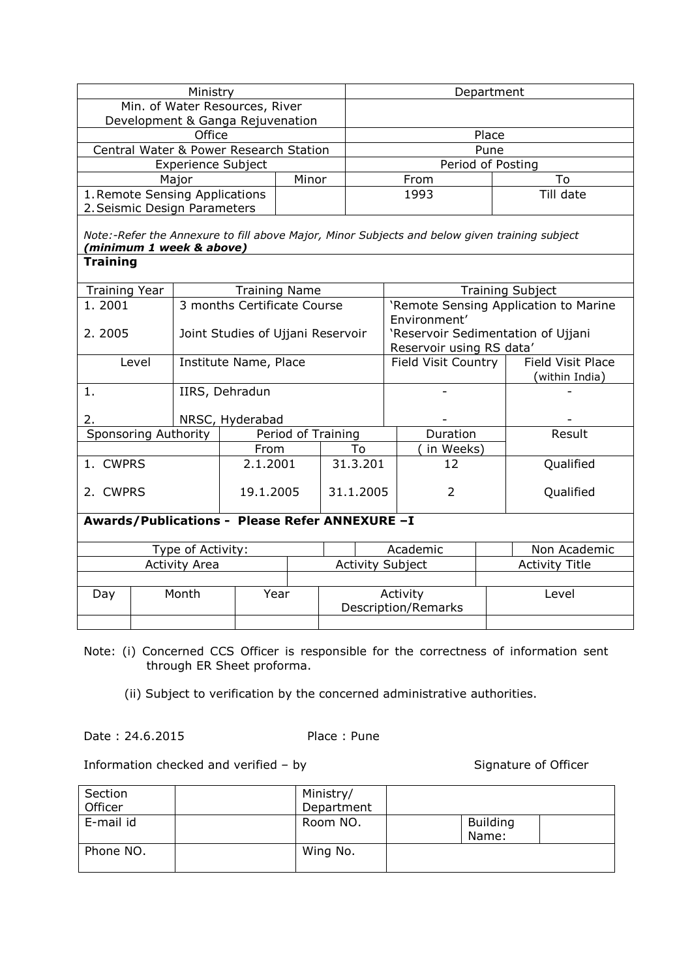|                                                                                                                                             | Ministry  |                                   |                      |          | Department                               |                   |                |  |
|---------------------------------------------------------------------------------------------------------------------------------------------|-----------|-----------------------------------|----------------------|----------|------------------------------------------|-------------------|----------------|--|
|                                                                                                                                             |           | Min. of Water Resources, River    |                      |          |                                          |                   |                |  |
| Development & Ganga Rejuvenation                                                                                                            |           |                                   |                      |          |                                          |                   |                |  |
| Office                                                                                                                                      |           |                                   |                      |          | Place                                    |                   |                |  |
| Central Water & Power Research Station                                                                                                      |           |                                   |                      |          |                                          | Pune              |                |  |
|                                                                                                                                             |           | <b>Experience Subject</b>         |                      |          |                                          | Period of Posting |                |  |
|                                                                                                                                             | Major     |                                   | Minor                |          |                                          | From              | To             |  |
| 1. Remote Sensing Applications<br>2. Seismic Design Parameters                                                                              |           |                                   |                      |          |                                          | 1993              | Till date      |  |
| Note:-Refer the Annexure to fill above Major, Minor Subjects and below given training subject<br>minimum 1 week & above)<br><b>Training</b> |           |                                   |                      |          |                                          |                   |                |  |
| <b>Training Year</b>                                                                                                                        |           |                                   | <b>Training Name</b> |          | <b>Training Subject</b>                  |                   |                |  |
| 1.2001                                                                                                                                      |           | 3 months Certificate Course       |                      |          | 'Remote Sensing Application to Marine    |                   |                |  |
|                                                                                                                                             |           |                                   |                      |          | Environment'                             |                   |                |  |
| 2.2005                                                                                                                                      |           | Joint Studies of Ujjani Reservoir |                      |          | 'Reservoir Sedimentation of Ujjani       |                   |                |  |
|                                                                                                                                             |           |                                   |                      |          | Reservoir using RS data'                 |                   |                |  |
| Level                                                                                                                                       |           | Institute Name, Place             |                      |          | Field Visit Place<br>Field Visit Country |                   |                |  |
|                                                                                                                                             |           |                                   |                      |          |                                          |                   | (within India) |  |
| 1.                                                                                                                                          |           | IIRS, Dehradun                    |                      |          |                                          |                   |                |  |
| 2.                                                                                                                                          |           | NRSC, Hyderabad                   |                      |          |                                          |                   |                |  |
| Sponsoring Authority                                                                                                                        |           |                                   | Period of Training   |          |                                          | Duration          | Result         |  |
|                                                                                                                                             | From      |                                   | To                   |          | in Weeks)                                |                   |                |  |
| 1. CWPRS                                                                                                                                    |           | 2.1.2001                          |                      | 31.3.201 |                                          | 12                | Qualified      |  |
|                                                                                                                                             |           |                                   |                      |          |                                          |                   |                |  |
| 2. CWPRS                                                                                                                                    | 19.1.2005 |                                   | 31.1.2005            |          | 2                                        | Qualified         |                |  |

# Awards/Publications - Please Refer ANNEXURE –I Type of Activity:  $\begin{array}{|c|c|c|c|c|} \hline \text{I} & \text{Academic} & \text{Non Academic} \end{array}$ <br>Activity Area  $\begin{array}{|c|c|c|c|} \hline \text{Activity Subject} & \text{Activity Title} \end{array}$ Activity Area **Activity Subject** Day Month Year Activity Description/Remarks Level

Note: (i) Concerned CCS Officer is responsible for the correctness of information sent through ER Sheet proforma.

(ii) Subject to verification by the concerned administrative authorities.

Date : 24.6.2015 Place : Pune

Information checked and verified – by Signature of Officer

| Section   | Ministry/  |                          |  |
|-----------|------------|--------------------------|--|
| Officer   | Department |                          |  |
| E-mail id | Room NO.   | <b>Building</b><br>Name: |  |
| Phone NO. | Wing No.   |                          |  |